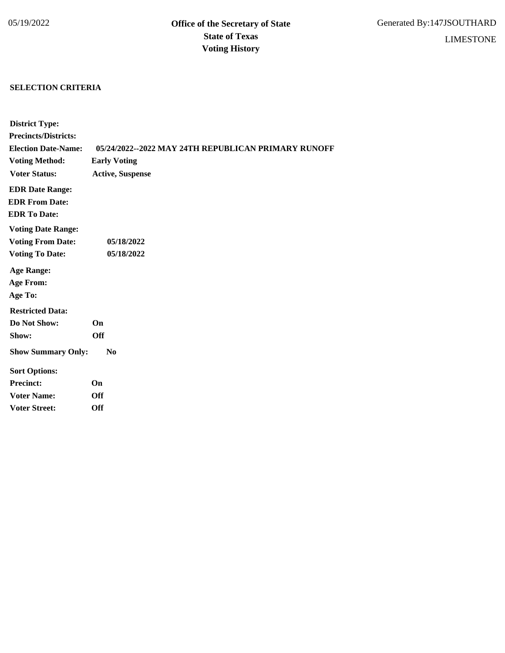## **SELECTION CRITERIA**

| <b>District Type:</b>       |                                                     |
|-----------------------------|-----------------------------------------------------|
| <b>Precincts/Districts:</b> |                                                     |
| <b>Election Date-Name:</b>  | 05/24/2022--2022 MAY 24TH REPUBLICAN PRIMARY RUNOFF |
| <b>Voting Method:</b>       | <b>Early Voting</b>                                 |
| <b>Voter Status:</b>        | <b>Active, Suspense</b>                             |
| <b>EDR Date Range:</b>      |                                                     |
| <b>EDR From Date:</b>       |                                                     |
| <b>EDR To Date:</b>         |                                                     |
| <b>Voting Date Range:</b>   |                                                     |
| <b>Voting From Date:</b>    | 05/18/2022                                          |
| <b>Voting To Date:</b>      | 05/18/2022                                          |
| <b>Age Range:</b>           |                                                     |
| <b>Age From:</b>            |                                                     |
| Age To:                     |                                                     |
| <b>Restricted Data:</b>     |                                                     |
| Do Not Show:                | On                                                  |
| Show:                       | <b>Off</b>                                          |
| <b>Show Summary Only:</b>   | N <sub>0</sub>                                      |
| <b>Sort Options:</b>        |                                                     |
| <b>Precinct:</b>            | On                                                  |
| <b>Voter Name:</b>          | Off                                                 |
| <b>Voter Street:</b>        | Off                                                 |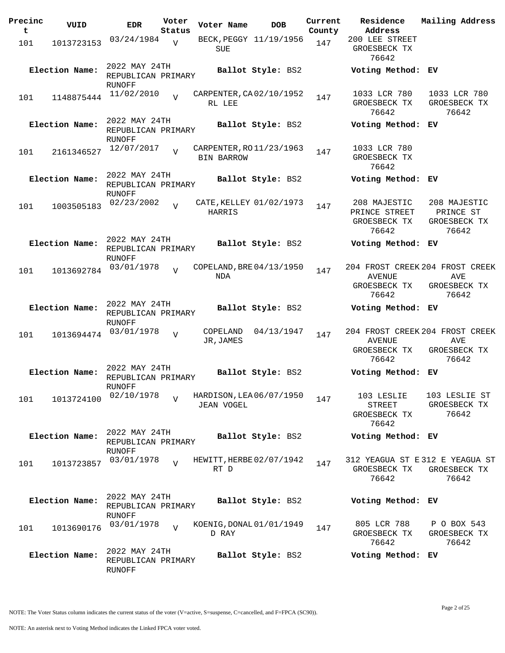| Precinc  | VUID           | <b>EDR</b>                                           | Voter                    | Voter Name                                    | <b>DOB</b>             | Current       | Residence                                              | Mailing Address                                                 |
|----------|----------------|------------------------------------------------------|--------------------------|-----------------------------------------------|------------------------|---------------|--------------------------------------------------------|-----------------------------------------------------------------|
| t<br>101 | 1013723153     | 03/24/1984                                           | Status<br>$\overline{V}$ | SUE                                           | BECK, PEGGY 11/19/1956 | County<br>147 | Address<br>200 LEE STREET<br>GROESBECK TX<br>76642     |                                                                 |
|          | Election Name: | 2022 MAY 24TH<br>REPUBLICAN PRIMARY<br>RUNOFF        |                          |                                               | Ballot Style: BS2      |               | Voting Method: EV                                      |                                                                 |
| 101      | 1148875444     | 11/02/2010                                           | $\overline{V}$           | CARPENTER, CA02/10/1952<br>RL LEE             |                        | 147           | 1033 LCR 780<br>GROESBECK TX<br>76642                  | 1033 LCR 780<br>GROESBECK TX<br>76642                           |
|          | Election Name: | 2022 MAY 24TH<br>REPUBLICAN PRIMARY<br><b>RUNOFF</b> |                          |                                               | Ballot Style: BS2      |               | Voting Method: EV                                      |                                                                 |
| 101      | 2161346527     | 12/07/2017                                           | $\overline{z}$           | CARPENTER, RO 11/23/1963<br><b>BIN BARROW</b> |                        | 147           | 1033 LCR 780<br>GROESBECK TX<br>76642                  |                                                                 |
|          | Election Name: | 2022 MAY 24TH<br>REPUBLICAN PRIMARY<br>RUNOFF        |                          |                                               | Ballot Style: BS2      |               | Voting Method: EV                                      |                                                                 |
| 101      | 1003505183     | 02/23/2002                                           | $\overline{V}$           | CATE, KELLEY 01/02/1973<br>HARRIS             |                        | 147           | 208 MAJESTIC<br>PRINCE STREET<br>GROESBECK TX<br>76642 | 208 MAJESTIC<br>PRINCE ST<br>GROESBECK TX<br>76642              |
|          | Election Name: | 2022 MAY 24TH<br>REPUBLICAN PRIMARY<br><b>RUNOFF</b> |                          |                                               | Ballot Style: BS2      |               | Voting Method: EV                                      |                                                                 |
| 101      | 1013692784     | 03/01/1978                                           | $\overline{v}$           | COPELAND, BRE 04/13/1950<br>NDA               |                        | 147           | <b>AVENUE</b><br>GROESBECK TX<br>76642                 | 204 FROST CREEK 204 FROST CREEK<br>AVE<br>GROESBECK TX<br>76642 |
|          | Election Name: | 2022 MAY 24TH<br>REPUBLICAN PRIMARY<br>RUNOFF        |                          |                                               | Ballot Style: BS2      |               | Voting Method: EV                                      |                                                                 |
| 101      | 1013694474     | 03/01/1978                                           | $\overline{V}$           | COPELAND<br>JR, JAMES                         | 04/13/1947             | 147           | <b>AVENUE</b><br>GROESBECK TX<br>76642                 | 204 FROST CREEK 204 FROST CREEK<br>AVE<br>GROESBECK TX<br>76642 |
|          | Election Name: | 2022 MAY 24TH<br>REPUBLICAN PRIMARY<br><b>RUNOFF</b> |                          |                                               | Ballot Style: BS2      |               | Voting Method: EV                                      |                                                                 |
| 101      | 1013724100     | 02/10/1978                                           | $\overline{U}$           | HARDISON, LEA 06/07/1950<br><b>JEAN VOGEL</b> |                        | 147           | 103 LESLIE<br><b>STREET</b><br>GROESBECK TX<br>76642   | 103 LESLIE ST<br>GROESBECK TX<br>76642                          |
|          | Election Name: | 2022 MAY 24TH<br>REPUBLICAN PRIMARY<br>RUNOFF        |                          |                                               | Ballot Style: BS2      |               | Voting Method: EV                                      |                                                                 |
| 101      | 1013723857     | 03/01/1978                                           | $\overline{U}$           | HEWITT, HERBE 02/07/1942<br>RT D              |                        | 147           | GROESBECK TX<br>76642                                  | 312 YEAGUA ST E 312 E YEAGUA ST<br>GROESBECK TX<br>76642        |
|          | Election Name: | 2022 MAY 24TH<br>REPUBLICAN PRIMARY<br>RUNOFF        |                          |                                               | Ballot Style: BS2      |               | Voting Method: EV                                      |                                                                 |
| 101      | 1013690176     | 03/01/1978                                           | $\overline{V}$           | KOENIG, DONAL 01/01/1949<br>D RAY             |                        | 147           | 805 LCR 788<br>GROESBECK TX<br>76642                   | P O BOX 543<br>GROESBECK TX<br>76642                            |
|          | Election Name: | 2022 MAY 24TH<br>REPUBLICAN PRIMARY<br>RUNOFF        |                          |                                               | Ballot Style: BS2      |               | Voting Method: EV                                      |                                                                 |

Page 2 of 25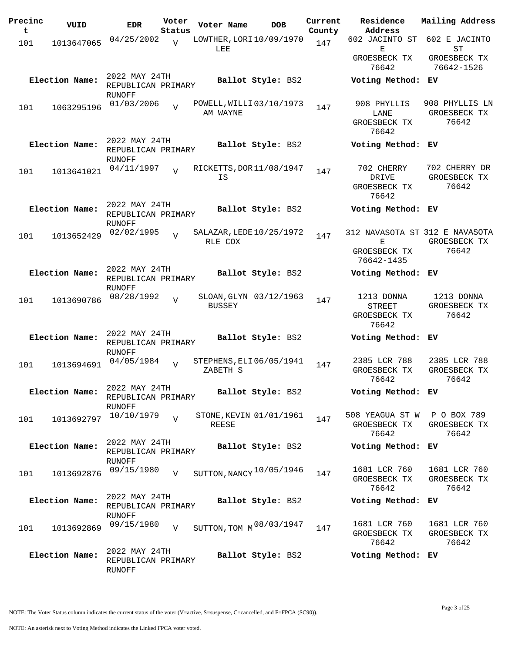| Precinc<br>t | VUID           | <b>EDR</b>                   | Voter          | Voter Name                          | <b>DOB</b>        | Current | Residence<br>Address           | Mailing Address            |
|--------------|----------------|------------------------------|----------------|-------------------------------------|-------------------|---------|--------------------------------|----------------------------|
|              |                |                              | Status         |                                     |                   | County  | 602 JACINTO ST                 | 602 E JACINTO              |
| 101          | 1013647065     | 04/25/2002                   | $\overline{V}$ | LOWTHER, LORI 10/09/1970<br>LEE     |                   | 147     | Ε                              | <b>ST</b>                  |
|              |                |                              |                |                                     |                   |         | GROESBECK TX<br>76642          | GROESBECK TX<br>76642-1526 |
|              | Election Name: | 2022 MAY 24TH                |                |                                     | Ballot Style: BS2 |         | Voting Method: EV              |                            |
|              |                | REPUBLICAN PRIMARY<br>RUNOFF |                |                                     |                   |         |                                |                            |
|              |                | 01/03/2006                   | $\overline{v}$ | POWELL, WILLI 03/10/1973            |                   |         | 908 PHYLLIS                    | 908 PHYLLIS LN             |
| 101          | 1063295196     |                              |                | AM WAYNE                            |                   | 147     | LANE                           | GROESBECK TX               |
|              |                |                              |                |                                     |                   |         | GROESBECK TX<br>76642          | 76642                      |
|              | Election Name: | 2022 MAY 24TH                |                |                                     | Ballot Style: BS2 |         | Voting Method: EV              |                            |
|              |                | REPUBLICAN PRIMARY<br>RUNOFF |                |                                     |                   |         |                                |                            |
| 101          | 1013641021     | 04/11/1997                   | $\overline{U}$ | RICKETTS, DOR 11/08/1947            |                   | 147     | 702 CHERRY                     | 702 CHERRY DR              |
|              |                |                              |                | IS                                  |                   |         | DRIVE<br>GROESBECK TX<br>76642 | GROESBECK TX<br>76642      |
|              | Election Name: | 2022 MAY 24TH                |                |                                     | Ballot Style: BS2 |         | Voting Method: EV              |                            |
|              |                | REPUBLICAN PRIMARY<br>RUNOFF |                |                                     |                   |         |                                |                            |
| 101          | 1013652429     | 02/02/1995                   | V              | SALAZAR, LEDE 10/25/1972<br>RLE COX |                   | 147     | 312 NAVASOTA ST 312 E NAVASOTA |                            |
|              |                |                              |                |                                     |                   |         | Е<br>GROESBECK TX              | GROESBECK TX<br>76642      |
|              |                |                              |                |                                     |                   |         | 76642-1435                     |                            |
|              | Election Name: | 2022 MAY 24TH                |                |                                     | Ballot Style: BS2 |         | Voting Method: EV              |                            |
|              |                | REPUBLICAN PRIMARY           |                |                                     |                   |         |                                |                            |
|              |                | <b>RUNOFF</b><br>08/28/1992  |                | SLOAN, GLYN 03/12/1963              |                   |         | 1213 DONNA                     | 1213 DONNA                 |
| 101          | 1013690786     |                              | $\overline{V}$ | <b>BUSSEY</b>                       |                   | 147     | <b>STREET</b>                  | GROESBECK TX               |
|              |                |                              |                |                                     |                   |         | GROESBECK TX                   | 76642                      |
|              |                |                              |                |                                     |                   |         | 76642                          |                            |
|              | Election Name: | 2022 MAY 24TH                |                |                                     | Ballot Style: BS2 |         | Voting Method: EV              |                            |
|              |                | REPUBLICAN PRIMARY           |                |                                     |                   |         |                                |                            |
|              |                | RUNOFF<br>04/05/1984         |                | STEPHENS, ELI 06/05/1941            |                   |         | 2385 LCR 788                   | 2385 LCR 788               |
| 101          | 1013694691     |                              | $\overline{V}$ | ZABETH S                            |                   | 147     | GROESBECK TX                   | GROESBECK TX               |
|              |                |                              |                |                                     |                   |         | 76642                          | 76642                      |
|              | Election Name: | 2022 MAY 24TH                |                |                                     | Ballot Style: BS2 |         | Voting Method: EV              |                            |
|              |                | REPUBLICAN PRIMARY<br>RUNOFF |                |                                     |                   |         |                                |                            |
|              |                | 10/10/1979                   | $\overline{V}$ | STONE, KEVIN 01/01/1961             |                   |         | 508 YEAGUA ST W P O BOX 789    |                            |
| 101          | 1013692797     |                              |                | <b>REESE</b>                        |                   | 147     | GROESBECK TX                   | GROESBECK TX               |
|              |                |                              |                |                                     |                   |         | 76642                          | 76642                      |
|              | Election Name: | 2022 MAY 24TH                |                |                                     | Ballot Style: BS2 |         | Voting Method: EV              |                            |
|              |                | REPUBLICAN PRIMARY<br>RUNOFF |                |                                     |                   |         |                                |                            |
|              |                | 09/15/1980                   | $\overline{V}$ | SUTTON, NANCY $10/05/1946$          |                   | 147     | 1681 LCR 760                   | 1681 LCR 760               |
| 101          | 1013692876     |                              |                |                                     |                   |         | GROESBECK TX                   | GROESBECK TX               |
|              |                |                              |                |                                     |                   |         | 76642                          | 76642                      |
|              | Election Name: | 2022 MAY 24TH                |                |                                     | Ballot Style: BS2 |         | Voting Method: EV              |                            |
|              |                | REPUBLICAN PRIMARY<br>RUNOFF |                |                                     |                   |         |                                |                            |
|              |                | 09/15/1980                   |                | SUTTON, TOM M 08/03/1947            |                   |         | 1681 LCR 760                   | 1681 LCR 760               |
| 101          | 1013692869     |                              | $\mathbf{V}$   |                                     |                   | 147     | GROESBECK TX                   | GROESBECK TX               |
|              |                |                              |                |                                     |                   |         | 76642                          | 76642                      |
|              | Election Name: | 2022 MAY 24TH                |                |                                     | Ballot Style: BS2 |         | Voting Method: EV              |                            |
|              |                | REPUBLICAN PRIMARY<br>RUNOFF |                |                                     |                   |         |                                |                            |

NOTE: The Voter Status column indicates the current status of the voter (V=active, S=suspense, C=cancelled, and F=FPCA (SC90)).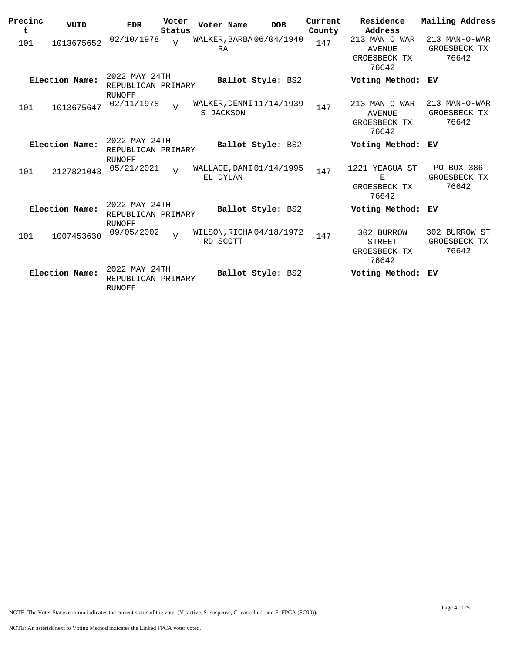| Precinc<br>t | VUID           | <b>EDR</b>                                    | Voter<br>Status | Voter Name                            | <b>DOB</b>        | Current<br>County | Residence<br>Address                                    | Mailing Address                        |
|--------------|----------------|-----------------------------------------------|-----------------|---------------------------------------|-------------------|-------------------|---------------------------------------------------------|----------------------------------------|
| 101          | 1013675652     | 02/10/1978                                    | $\overline{U}$  | WALKER, BARBA 06/04/1940<br>RA        |                   | 147               | 213 MAN O WAR<br><b>AVENUE</b><br>GROESBECK TX<br>76642 | 213 MAN-O-WAR<br>GROESBECK TX<br>76642 |
|              | Election Name: | 2022 MAY 24TH<br>REPUBLICAN PRIMARY<br>RUNOFF |                 |                                       | Ballot Style: BS2 |                   | Voting Method:                                          | ЕV                                     |
| 101          | 1013675647     | 02/11/1978                                    | $\overline{v}$  | WALKER, DENNI 11/14/1939<br>S JACKSON |                   | 147               | 213 MAN O WAR<br>AVENUE<br>GROESBECK TX<br>76642        | 213 MAN-O-WAR<br>GROESBECK TX<br>76642 |
|              | Election Name: | 2022 MAY 24TH<br>REPUBLICAN PRIMARY<br>RUNOFF |                 |                                       | Ballot Style: BS2 |                   | Voting Method:                                          | ЕV                                     |
| 101          | 2127821043     | 05/21/2021                                    | $\overline{v}$  | WALLACE, DANI 01/14/1995<br>EL DYLAN  |                   | 147               | 1221 YEAGUA ST<br>Е<br>GROESBECK TX<br>76642            | PO BOX 386<br>GROESBECK TX<br>76642    |
|              | Election Name: | 2022 MAY 24TH<br>REPUBLICAN PRIMARY<br>RUNOFF |                 |                                       | Ballot Style: BS2 |                   | Voting Method:                                          | ЕV                                     |
| 101          | 1007453630     | 09/05/2002                                    | $\overline{U}$  | WILSON, RICHA04/18/1972<br>RD SCOTT   |                   | 147               | 302 BURROW<br><b>STREET</b><br>GROESBECK TX<br>76642    | 302 BURROW ST<br>GROESBECK TX<br>76642 |
|              | Election Name: | 2022 MAY 24TH<br>REPUBLICAN PRIMARY<br>RUNOFF |                 |                                       | Ballot Style: BS2 |                   | Voting Method:                                          | ЕV                                     |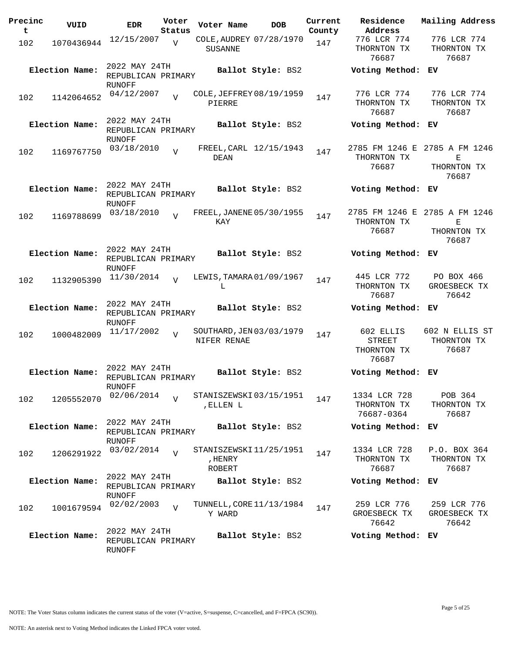| Precinc<br>t | VUID           | <b>EDR</b>                                    | Voter<br>Status | Voter Name                                  | <b>DOB</b>        | Current<br>County | Residence<br>Address                               | Mailing Address                                            |
|--------------|----------------|-----------------------------------------------|-----------------|---------------------------------------------|-------------------|-------------------|----------------------------------------------------|------------------------------------------------------------|
| 102          | 1070436944     | 12/15/2007                                    | V               | COLE, AUDREY 07/28/1970<br><b>SUSANNE</b>   |                   | 147               | 776 LCR 774<br>THORNTON TX<br>76687                | 776 LCR 774<br>THORNTON TX<br>76687                        |
|              | Election Name: | 2022 MAY 24TH<br>REPUBLICAN PRIMARY<br>RUNOFF |                 |                                             | Ballot Style: BS2 |                   | Voting Method: EV                                  |                                                            |
| 102          | 1142064652     | 04/12/2007                                    | $\overline{z}$  | COLE, JEFFREY 08/19/1959<br>PIERRE          |                   | 147               | 776 LCR 774<br>THORNTON TX<br>76687                | 776 LCR 774<br>THORNTON TX<br>76687                        |
|              | Election Name: | 2022 MAY 24TH<br>REPUBLICAN PRIMARY<br>RUNOFF |                 |                                             | Ballot Style: BS2 |                   | Voting Method: EV                                  |                                                            |
| 102          | 1169767750     | 03/18/2010                                    | $\overline{z}$  | FREEL, CARL 12/15/1943<br>DEAN              |                   | 147               | THORNTON TX<br>76687                               | 2785 FM 1246 E 2785 A FM 1246<br>Е<br>THORNTON TX<br>76687 |
|              | Election Name: | 2022 MAY 24TH<br>REPUBLICAN PRIMARY<br>RUNOFF |                 |                                             | Ballot Style: BS2 |                   | Voting Method: EV                                  |                                                            |
| 102          | 1169788699     | 03/18/2010                                    | $\overline{z}$  | FREEL, JANENE 05/30/1955<br>KAY             |                   | 147               | THORNTON TX<br>76687                               | 2785 FM 1246 E 2785 A FM 1246<br>Е<br>THORNTON TX<br>76687 |
|              | Election Name: | 2022 MAY 24TH<br>REPUBLICAN PRIMARY<br>RUNOFF |                 |                                             | Ballot Style: BS2 |                   | Voting Method: EV                                  |                                                            |
| 102          | 1132905390     | 11/30/2014                                    | $\overline{17}$ | LEWIS, TAMARA 01/09/1967<br>L               |                   | 147               | 445 LCR 772<br>THORNTON TX<br>76687                | PO BOX 466<br>GROESBECK TX<br>76642                        |
|              | Election Name: | 2022 MAY 24TH<br>REPUBLICAN PRIMARY<br>RUNOFF |                 |                                             | Ballot Style: BS2 |                   | Voting Method: EV                                  |                                                            |
| 102          | 1000482009     | 11/17/2002                                    | $\overline{V}$  | SOUTHARD, JEN 03/03/1979<br>NIFER RENAE     |                   | 147               | 602 ELLIS<br><b>STREET</b><br>THORNTON TX<br>76687 | 602 N ELLIS ST<br>THORNTON TX<br>76687                     |
|              | Election Name: | 2022 MAY 24TH<br>REPUBLICAN PRIMARY<br>RUNOFF |                 |                                             | Ballot Style: BS2 |                   | Voting Method: EV                                  |                                                            |
| 102          | 1205552070     | 02/06/2014                                    | $\overline{U}$  | STANISZEWSKI03/15/1951<br>, ELLEN L         |                   | 147               | 1334 LCR 728<br>THORNTON TX<br>76687-0364          | POB 364<br>THORNTON TX<br>76687                            |
|              | Election Name: | 2022 MAY 24TH<br>REPUBLICAN PRIMARY<br>RUNOFF |                 |                                             | Ballot Style: BS2 |                   | Voting Method:                                     | ЕV                                                         |
| 102          | 1206291922     | 03/02/2014                                    | $\overline{z}$  | STANISZEWSKI11/25/1951<br>, HENRY<br>ROBERT |                   | 147               | 1334 LCR 728<br>THORNTON TX<br>76687               | P.O. BOX 364<br>THORNTON TX<br>76687                       |
|              | Election Name: | 2022 MAY 24TH<br>REPUBLICAN PRIMARY<br>RUNOFF |                 |                                             | Ballot Style: BS2 |                   | Voting Method: EV                                  |                                                            |
| 102          | 1001679594     | 02/02/2003                                    | $\overline{V}$  | TUNNELL, CORE 11/13/1984<br>Y WARD          |                   | 147               | 259 LCR 776<br>GROESBECK TX<br>76642               | 259 LCR 776<br>GROESBECK TX<br>76642                       |
|              | Election Name: | 2022 MAY 24TH<br>REPUBLICAN PRIMARY<br>RUNOFF |                 |                                             | Ballot Style: BS2 |                   | Voting Method:                                     | ЕV                                                         |

NOTE: The Voter Status column indicates the current status of the voter (V=active, S=suspense, C=cancelled, and F=FPCA (SC90)).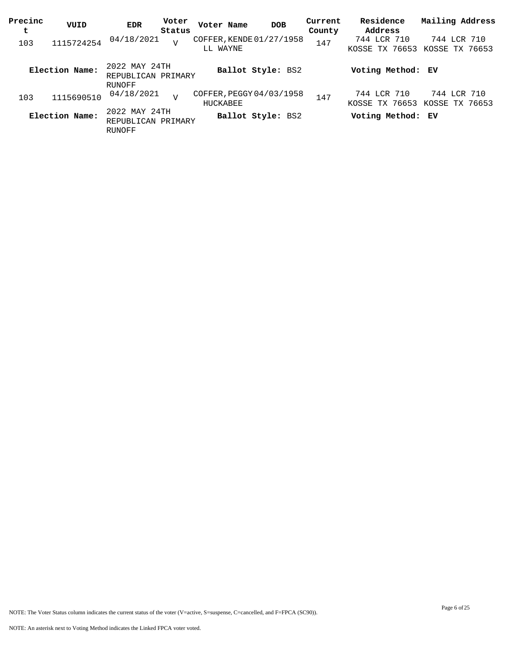| Precinc<br>t | VUID           | <b>EDR</b>                                    | Voter<br>Status | Voter Name                           | <b>DOB</b>        | Current<br>County | Residence<br>Address          | Mailing Address               |
|--------------|----------------|-----------------------------------------------|-----------------|--------------------------------------|-------------------|-------------------|-------------------------------|-------------------------------|
| 103          | 1115724254     | 04/18/2021                                    | $\overline{V}$  | COFFER, KENDE 01/27/1958<br>LL WAYNE |                   | 147               | 744 LCR 710<br>KOSSE TX 76653 | 744 LCR 710<br>KOSSE TX 76653 |
|              | Election Name: | 2022 MAY 24TH<br>REPUBLICAN PRIMARY<br>RUNOFF |                 |                                      | Ballot Style: BS2 |                   | Voting Method: EV             |                               |
| 103          | 1115690510     | 04/18/2021                                    | $\overline{z}$  | COFFER, PEGGY 04/03/1958<br>HUCKABEE |                   | 147               | 744 LCR 710<br>KOSSE TX 76653 | 744 LCR 710<br>KOSSE TX 76653 |
|              | Election Name: | 2022 MAY 24TH<br>REPUBLICAN PRIMARY<br>RUNOFF |                 |                                      | Ballot Style: BS2 |                   | Voting Method: EV             |                               |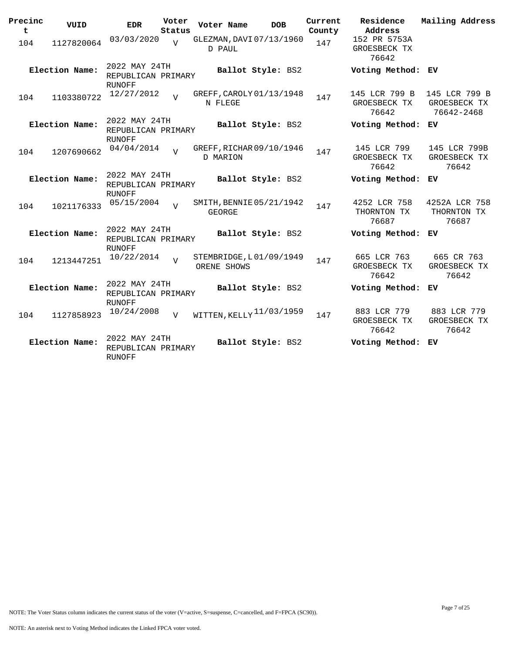| Precinc<br>$\mathbf t$ | VUID           | <b>EDR</b>                                           | Voter<br>Status | Voter Name      | <b>DOB</b>               | Current<br>County | Residence<br>Address                   | Mailing Address                             |
|------------------------|----------------|------------------------------------------------------|-----------------|-----------------|--------------------------|-------------------|----------------------------------------|---------------------------------------------|
| 104                    | 1127820064     | 03/03/2020                                           | $\overline{V}$  | D PAUL          | GLEZMAN, DAVI 07/13/1960 | 147               | 152 PR 5753A<br>GROESBECK TX<br>76642  |                                             |
|                        | Election Name: | 2022 MAY 24TH<br>REPUBLICAN PRIMARY<br><b>RUNOFF</b> |                 |                 | Ballot Style: BS2        |                   | Voting Method: EV                      |                                             |
| 104                    | 1103380722     | 12/27/2012                                           | $\overline{17}$ | N FLEGE         | GREFF, CAROLY 01/13/1948 | 147               | 145 LCR 799 B<br>GROESBECK TX<br>76642 | 145 LCR 799 B<br>GROESBECK TX<br>76642-2468 |
|                        | Election Name: | 2022 MAY 24TH<br>REPUBLICAN PRIMARY<br><b>RUNOFF</b> |                 |                 | Ballot Style: BS2        |                   | Voting Method: EV                      |                                             |
| 104                    | 1207690662     | 04/04/2014                                           | $\overline{17}$ | <b>D MARION</b> | GREFF, RICHAR 09/10/1946 | 147               | 145 LCR 799<br>GROESBECK TX<br>76642   | 145 LCR 799B<br>GROESBECK TX<br>76642       |
|                        | Election Name: | 2022 MAY 24TH<br>REPUBLICAN PRIMARY<br><b>RUNOFF</b> |                 |                 | Ballot Style: BS2        |                   | Voting Method:                         | ЕV                                          |
| 104                    | 1021176333     | 05/15/2004                                           | $\overline{V}$  | GEORGE          | SMITH, BENNIE 05/21/1942 | 147               | 4252 LCR 758<br>THORNTON TX<br>76687   | 4252A LCR 758<br>THORNTON TX<br>76687       |
|                        | Election Name: | 2022 MAY 24TH<br>REPUBLICAN PRIMARY<br>RUNOFF        |                 |                 | Ballot Style: BS2        |                   | Voting Method: EV                      |                                             |
| 104                    | 1213447251     | 10/22/2014                                           | $\overline{U}$  | ORENE SHOWS     | STEMBRIDGE, L01/09/1949  | 147               | 665 LCR 763<br>GROESBECK TX<br>76642   | 665 CR 763<br>GROESBECK TX<br>76642         |
|                        | Election Name: | 2022 MAY 24TH<br>REPUBLICAN PRIMARY<br><b>RUNOFF</b> |                 |                 | Ballot Style: BS2        |                   | Voting Method: EV                      |                                             |
| 104                    | 1127858923     | 10/24/2008                                           | V               |                 | WITTEN, KELLY 11/03/1959 | 147               | 883 LCR 779<br>GROESBECK TX<br>76642   | 883 LCR 779<br>GROESBECK TX<br>76642        |
|                        | Election Name: | 2022 MAY 24TH<br>REPUBLICAN PRIMARY<br>RUNOFF        |                 |                 | Ballot Style: BS2        |                   | Voting Method: EV                      |                                             |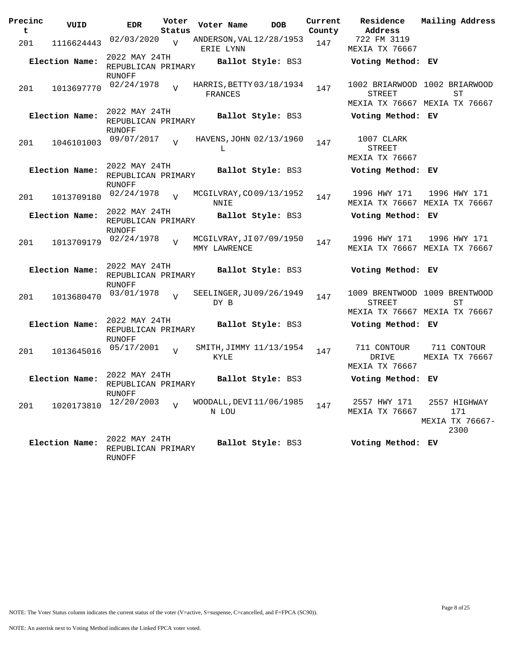| Precinc<br>t | VUID           | <b>EDR</b>                                           | Voter<br>Status | Voter Name   | <b>DOB</b>               | Current<br>County | Residence<br>Address                                                     | Mailing Address                                |
|--------------|----------------|------------------------------------------------------|-----------------|--------------|--------------------------|-------------------|--------------------------------------------------------------------------|------------------------------------------------|
| 201          | 1116624443     | 02/03/2020                                           | $\overline{V}$  | ERIE LYNN    | ANDERSON, VAL 12/28/1953 | 147               | 722 FM 3119<br>MEXIA TX 76667                                            |                                                |
|              | Election Name: | 2022 MAY 24TH<br>REPUBLICAN PRIMARY                  |                 |              | Ballot Style: BS3        |                   | Voting Method: EV                                                        |                                                |
| 201          | 1013697770     | RUNOFF<br>02/24/1978                                 | $\overline{V}$  | FRANCES      | HARRIS, BETTY 03/18/1934 | 147               | 1002 BRIARWOOD 1002 BRIARWOOD<br>STREET<br>MEXIA TX 76667 MEXIA TX 76667 | SТ                                             |
|              | Election Name: | 2022 MAY 24TH<br>REPUBLICAN PRIMARY<br>RUNOFF        |                 |              | Ballot Style: BS3        |                   | Voting Method: EV                                                        |                                                |
| 201          | 1046101003     | 09/07/2017                                           | $\overline{V}$  | L            | HAVENS, JOHN 02/13/1960  | 147               | 1007 CLARK<br>STREET<br>MEXIA TX 76667                                   |                                                |
|              | Election Name: | 2022 MAY 24TH<br>REPUBLICAN PRIMARY<br>RUNOFF        |                 |              | Ballot Style: BS3        |                   | Voting Method: EV                                                        |                                                |
| 201          | 1013709180     | 02/24/1978                                           | $\overline{v}$  | NNIE         | MCGILVRAY, CO09/13/1952  | 147               | 1996 HWY 171<br>MEXIA TX 76667 MEXIA TX 76667                            | 1996 HWY 171                                   |
|              | Election Name: | 2022 MAY 24TH<br>REPUBLICAN PRIMARY<br>RUNOFF        |                 |              | Ballot Style: BS3        |                   | Voting Method: EV                                                        |                                                |
| 201          | 1013709179     | 02/24/1978                                           | $\overline{V}$  | MMY LAWRENCE | MCGILVRAY, JI07/09/1950  | 147               | 1996 HWY 171<br>MEXIA TX 76667 MEXIA TX 76667                            | 1996 HWY 171                                   |
|              | Election Name: | 2022 MAY 24TH<br>REPUBLICAN PRIMARY<br>RUNOFF        |                 |              | <b>Ballot Style: BS3</b> |                   | Voting Method: EV                                                        |                                                |
| 201          | 1013680470     | 03/01/1978                                           | V               | DY B         | SEELINGER, JU09/26/1949  | 147               | 1009 BRENTWOOD 1009 BRENTWOOD<br>STREET<br>MEXIA TX 76667 MEXIA TX 76667 | SТ                                             |
|              | Election Name: | 2022 MAY 24TH<br>REPUBLICAN PRIMARY<br>RUNOFF        |                 |              | Ballot Style: BS3        |                   | Voting Method: EV                                                        |                                                |
| 201          | 1013645016     | 05/17/2001                                           | $\overline{V}$  | KYLE         | SMITH, JIMMY 11/13/1954  | 147               | 711 CONTOUR<br>DRIVE<br>MEXIA TX 76667                                   | 711 CONTOUR<br>MEXIA TX 76667                  |
|              | Election Name: | 2022 MAY 24TH<br>REPUBLICAN PRIMARY<br>RUNOFF        |                 |              | Ballot Style: BS3        |                   | Voting Method: EV                                                        |                                                |
| 201          | 1020173810     | 12/20/2003                                           | $\overline{V}$  | N LOU        | WOODALL, DEVI 11/06/1985 | 147               | 2557 HWY 171<br>MEXIA TX 76667                                           | 2557 HIGHWAY<br>171<br>MEXIA TX 76667-<br>2300 |
|              | Election Name: | 2022 MAY 24TH<br>REPUBLICAN PRIMARY<br><b>RUNOFF</b> |                 |              | Ballot Style: BS3        |                   | Voting Method: EV                                                        |                                                |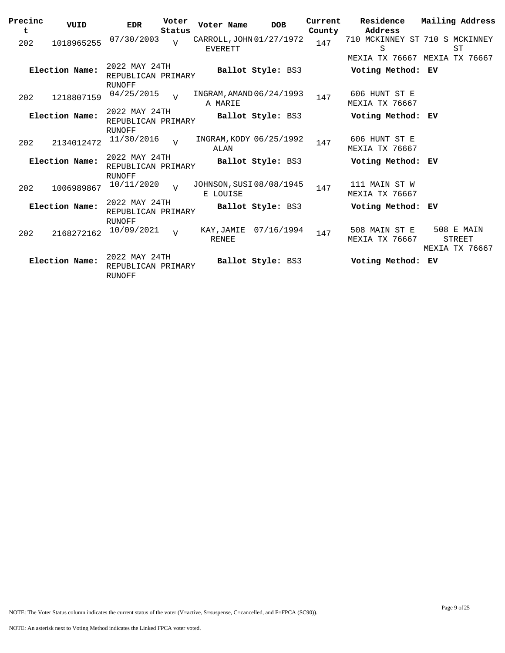| Precinc | VUID           | <b>EDR</b>                                    | Voter          | Voter Name                                 | <b>DOB</b>              | Current | Residence                              | Mailing Address                               |
|---------|----------------|-----------------------------------------------|----------------|--------------------------------------------|-------------------------|---------|----------------------------------------|-----------------------------------------------|
| t       |                |                                               | Status         |                                            |                         | County  | Address                                |                                               |
| 202     | 1018965255     | 07/30/2003                                    | $\overline{U}$ | CARROLL, JOHN 01/27/1972<br><b>EVERETT</b> |                         | 147     | 710 MCKINNEY ST 710 S MCKINNEY<br>S    | ST                                            |
|         |                |                                               |                |                                            |                         |         |                                        | MEXIA TX 76667 MEXIA TX 76667                 |
|         | Election Name: | 2022 MAY 24TH<br>REPUBLICAN PRIMARY           |                |                                            | Ballot Style: BS3       |         | Voting Method: EV                      |                                               |
|         |                | RUNOFF                                        |                |                                            |                         |         |                                        |                                               |
| 202     | 1218807159     | 04/25/2015                                    | $\overline{v}$ | INGRAM, AMAND 06/24/1993<br>A MARIE        |                         | 147     | 606 HUNT ST E<br><b>MEXIA TX 76667</b> |                                               |
|         | Election Name: | 2022 MAY 24TH<br>REPUBLICAN PRIMARY           |                |                                            | Ballot Style: BS3       |         | Voting Method: EV                      |                                               |
|         |                | RUNOFF                                        |                |                                            |                         |         |                                        |                                               |
| 202     | 2134012472     | 11/30/2016                                    | $\overline{V}$ | ALAN                                       | INGRAM, KODY 06/25/1992 | 147     | 606 HUNT ST E<br>MEXIA TX 76667        |                                               |
|         | Election Name: | 2022 MAY 24TH<br>REPUBLICAN PRIMARY           |                |                                            | Ballot Style: BS3       |         | Voting Method: EV                      |                                               |
|         |                | <b>RUNOFF</b>                                 |                |                                            |                         |         |                                        |                                               |
| 202     | 1006989867     | 10/11/2020                                    | $\overline{v}$ | JOHNSON, SUSI 08/08/1945<br>E LOUISE       |                         | 147     | 111 MAIN ST W<br><b>MEXIA TX 76667</b> |                                               |
|         | Election Name: | 2022 MAY 24TH<br>REPUBLICAN PRIMARY           |                |                                            | Ballot Style: BS3       |         | Voting Method: EV                      |                                               |
|         |                | RUNOFF                                        |                |                                            |                         |         |                                        |                                               |
| 202     | 2168272162     | 10/09/2021                                    | $\overline{V}$ | KAY,JAMIE<br><b>RENEE</b>                  | 07/16/1994              | 147     | 508 MAIN ST E<br>MEXIA TX 76667        | 508 E MAIN<br><b>STREET</b><br>MEXIA TX 76667 |
|         | Election Name: | 2022 MAY 24TH<br>REPUBLICAN PRIMARY<br>RUNOFF |                |                                            | Ballot Style: BS3       |         | Voting Method:                         | ЕV                                            |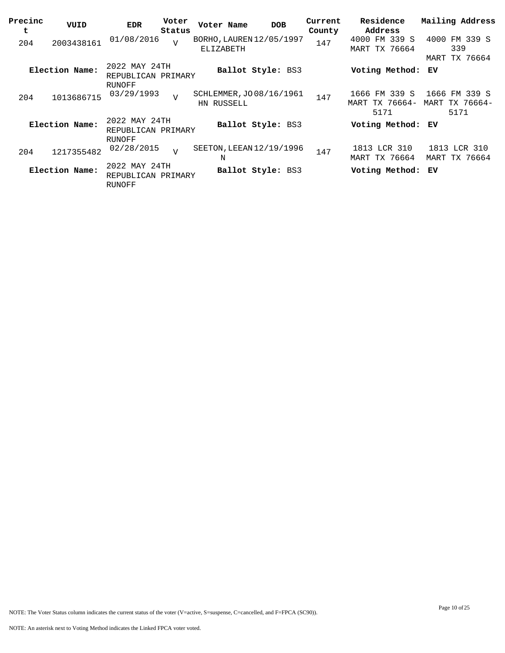| Precinc<br>t | VUID           | <b>EDR</b>                                    | Voter<br>Status | Voter Name                             | <b>DOB</b>        | Current<br>County | Residence<br>Address                    | Mailing Address                         |
|--------------|----------------|-----------------------------------------------|-----------------|----------------------------------------|-------------------|-------------------|-----------------------------------------|-----------------------------------------|
| 204          | 2003438161     | 01/08/2016                                    | $\overline{U}$  | BORHO, LAUREN 12/05/1997<br>ELIZABETH  |                   | 147               | 4000 FM 339 S<br><b>MART TX 76664</b>   | 4000 FM 339 S<br>339                    |
|              | Election Name: | 2022 MAY 24TH<br>REPUBLICAN PRIMARY           |                 |                                        | Ballot Style: BS3 |                   | Voting Method:                          | <b>MART TX 76664</b><br>ЕV              |
| 204          | 1013686715     | RUNOFF<br>03/29/1993                          | $\overline{V}$  | SCHLEMMER, JO 08/16/1961<br>HN RUSSELL |                   | 147               | 1666 FM 339 S<br>MART TX 76664-<br>5171 | 1666 FM 339 S<br>MART TX 76664-<br>5171 |
|              | Election Name: | 2022 MAY 24TH<br>REPUBLICAN PRIMARY<br>RUNOFF |                 |                                        | Ballot Style: BS3 |                   | Voting Method: EV                       |                                         |
| 204          | 1217355482     | 02/28/2015                                    | $\overline{U}$  | SEETON, LEEAN 12/19/1996<br>N          |                   | 147               | 1813 LCR 310<br><b>MART TX 76664</b>    | 1813 LCR 310<br>MART TX 76664           |
|              | Election Name: | 2022 MAY 24TH<br>REPUBLICAN PRIMARY<br>RUNOFF |                 |                                        | Ballot Style: BS3 |                   | Voting Method: EV                       |                                         |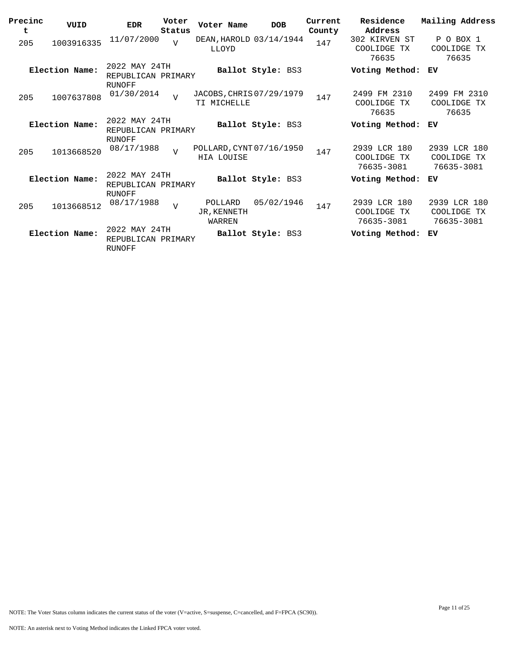| Precinc<br>t | VUID           | <b>EDR</b>                                           | Voter<br>Status | Voter Name                              | <b>DOB</b>               | Current<br>County | Residence<br>Address                      | Mailing Address                           |
|--------------|----------------|------------------------------------------------------|-----------------|-----------------------------------------|--------------------------|-------------------|-------------------------------------------|-------------------------------------------|
| 205          | 1003916335     | 11/07/2000                                           | $\overline{V}$  | DEAN, HAROLD 03/14/1944<br>LLOYD        |                          | 147               | 302 KIRVEN ST<br>COOLIDGE<br>ТX<br>76635  | P O BOX 1<br>COOLIDGE TX<br>76635         |
|              | Election Name: | 2022 MAY 24TH<br>REPUBLICAN PRIMARY<br><b>RUNOFF</b> |                 |                                         | <b>Ballot Style: BS3</b> |                   | Voting Method:                            | ЕV                                        |
| 205          | 1007637808     | 01/30/2014                                           | $\overline{v}$  | JACOBS, CHRIS 07/29/1979<br>TI MICHELLE |                          | 147               | 2499 FM 2310<br>COOLIDGE TX<br>76635      | 2499 FM 2310<br>COOLIDGE TX<br>76635      |
|              | Election Name: | 2022 MAY 24TH<br>REPUBLICAN PRIMARY<br>RUNOFF        |                 |                                         | Ballot Style: BS3        |                   | Voting Method:                            | ЕV                                        |
| 205          | 1013668520     | 08/17/1988                                           | $\overline{V}$  | POLLARD, CYNT 07/16/1950<br>HIA LOUISE  |                          | 147               | 2939 LCR 180<br>COOLIDGE TX<br>76635-3081 | 2939 LCR 180<br>COOLIDGE TX<br>76635-3081 |
|              | Election Name: | 2022 MAY 24TH<br>REPUBLICAN PRIMARY<br><b>RUNOFF</b> |                 |                                         | Ballot Style: BS3        |                   | Voting Method:                            | ЕV                                        |
| 205          | 1013668512     | 08/17/1988                                           | $\overline{V}$  | POLLARD<br>JR.KENNETH<br>WARREN         | 05/02/1946               | 147               | 2939 LCR 180<br>COOLIDGE TX<br>76635-3081 | 2939 LCR 180<br>COOLIDGE TX<br>76635-3081 |
|              | Election Name: | 2022 MAY 24TH<br>REPUBLICAN PRIMARY<br>RUNOFF        |                 |                                         | Ballot Style: BS3        |                   | Voting Method:                            | ЕV                                        |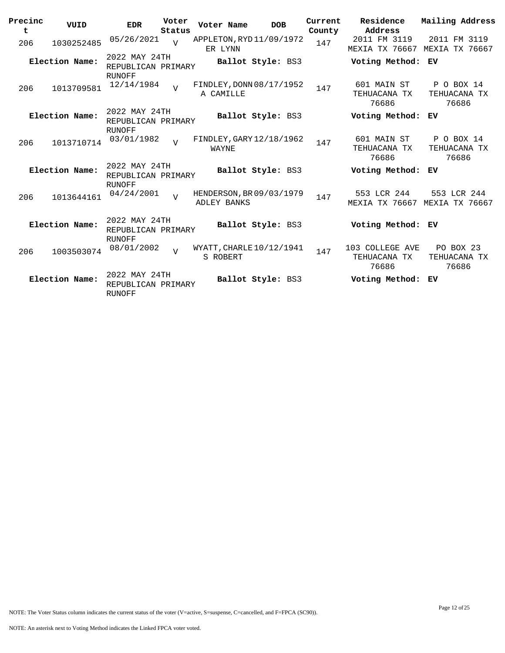| Precinc<br>t | VUID           | <b>EDR</b>                                           | Voter<br>Status | Voter Name                                     | <b>DOB</b>        | Current<br>County | Residence<br>Address                     | Mailing Address                     |
|--------------|----------------|------------------------------------------------------|-----------------|------------------------------------------------|-------------------|-------------------|------------------------------------------|-------------------------------------|
| 206          | 1030252485     | 05/26/2021                                           | $\overline{U}$  | APPLETON, RYD 11/09/1972<br>ER LYNN            |                   | 147               | 2011 FM 3119<br>MEXIA TX 76667           | 2011 FM 3119<br>MEXIA TX 76667      |
|              | Election Name: | 2022 MAY 24TH<br>REPUBLICAN PRIMARY<br><b>RUNOFF</b> |                 |                                                | Ballot Style: BS3 |                   | Voting Method: EV                        |                                     |
| 206          | 1013709581     | 12/14/1984                                           | $\overline{U}$  | FINDLEY, DONN 08/17/1952<br>A CAMILLE          |                   | 147               | 601 MAIN ST<br>TEHUACANA TX<br>76686     | P O BOX 14<br>TEHUACANA TX<br>76686 |
|              | Election Name: | 2022 MAY 24TH<br>REPUBLICAN PRIMARY                  |                 |                                                | Ballot Style: BS3 |                   | Voting Method:                           | ЕV                                  |
| 206          | 1013710714     | RUNOFF<br>03/01/1982                                 | $\overline{v}$  | FINDLEY, GARY 12/18/1962<br>WAYNE              |                   | 147               | 601 MAIN ST<br>TEHUACANA TX<br>76686     | P O BOX 14<br>TEHUACANA TX<br>76686 |
|              | Election Name: | 2022 MAY 24TH<br>REPUBLICAN PRIMARY<br><b>RUNOFF</b> |                 |                                                | Ballot Style: BS3 |                   | Voting Method:                           | ЕV                                  |
| 206          | 1013644161     | 04/24/2001                                           | $\overline{U}$  | HENDERSON, BR 09/03/1979<br><b>ADLEY BANKS</b> |                   | 147               | 553 LCR 244<br>MEXIA TX 76667            | 553 LCR 244<br>MEXIA TX 76667       |
|              | Election Name: | 2022 MAY 24TH<br>REPUBLICAN PRIMARY<br><b>RUNOFF</b> |                 |                                                | Ballot Style: BS3 |                   | Voting Method: EV                        |                                     |
| 206          | 1003503074     | 08/01/2002                                           | $\overline{V}$  | WYATT, CHARLE 10/12/1941<br>S ROBERT           |                   | 147               | 103 COLLEGE AVE<br>TEHUACANA TX<br>76686 | PO BOX 23<br>TEHUACANA TX<br>76686  |
|              | Election Name: | 2022 MAY 24TH<br>REPUBLICAN PRIMARY<br><b>RUNOFF</b> |                 |                                                | Ballot Style: BS3 |                   | Voting Method:                           | ЕV                                  |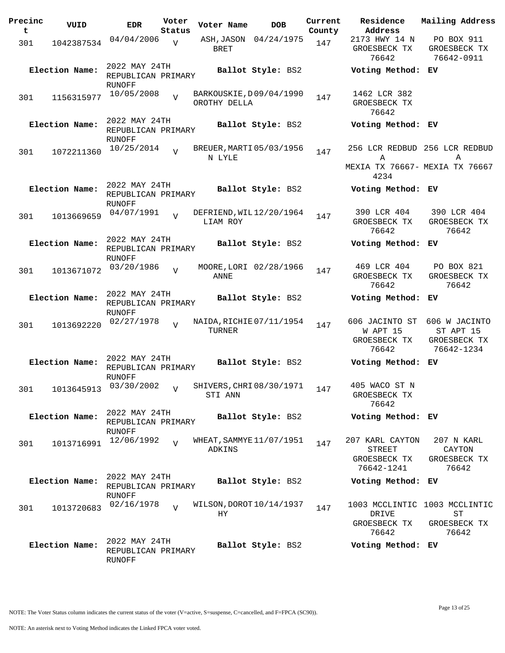| Precinc<br>t | VUID           | <b>EDR</b>                                           | Voter<br>Status | Voter Name                              | <b>DOB</b>               | Current<br>County | Residence<br>Address                                    | Mailing Address                                              |
|--------------|----------------|------------------------------------------------------|-----------------|-----------------------------------------|--------------------------|-------------------|---------------------------------------------------------|--------------------------------------------------------------|
| 301          | 1042387534     | 04/04/2006                                           | $\overline{V}$  | BRET                                    | ASH, JASON 04/24/1975    | 147               | 2173 HWY 14 N<br>GROESBECK TX<br>76642                  | PO BOX 911<br>GROESBECK TX<br>76642-0911                     |
|              | Election Name: | 2022 MAY 24TH<br>REPUBLICAN PRIMARY<br>RUNOFF        |                 |                                         | Ballot Style: BS2        |                   | Voting Method: EV                                       |                                                              |
| 301          | 1156315977     | 10/05/2008                                           | $\overline{z}$  | BARKOUSKIE, D09/04/1990<br>OROTHY DELLA |                          | 147               | 1462 LCR 382<br>GROESBECK TX<br>76642                   |                                                              |
|              | Election Name: | 2022 MAY 24TH<br>REPUBLICAN PRIMARY<br>RUNOFF        |                 |                                         | <b>Ballot Style: BS2</b> |                   | Voting Method: EV                                       |                                                              |
| 301          | 1072211360     | 10/25/2014                                           | $\overline{17}$ | BREUER, MARTI 05/03/1956<br>N LYLE      |                          | 147               | Α<br>MEXIA TX 76667- MEXIA TX 76667<br>4234             | 256 LCR REDBUD 256 LCR REDBUD<br>Α                           |
|              | Election Name: | 2022 MAY 24TH<br>REPUBLICAN PRIMARY<br>RUNOFF        |                 |                                         | Ballot Style: BS2        |                   | Voting Method: EV                                       |                                                              |
| 301          | 1013669659     | 04/07/1991                                           | $\overline{z}$  | DEFRIEND, WIL12/20/1964<br>LIAM ROY     |                          | 147               | 390 LCR 404<br>GROESBECK TX<br>76642                    | 390 LCR 404<br>GROESBECK TX<br>76642                         |
|              | Election Name: | 2022 MAY 24TH<br>REPUBLICAN PRIMARY<br>RUNOFF        |                 |                                         | Ballot Style: BS2        |                   | Voting Method:                                          | ЕV                                                           |
| 301          | 1013671072     | 03/20/1986                                           | $\overline{17}$ | ANNE                                    | MOORE, LORI 02/28/1966   | 147               | 469 LCR 404<br>GROESBECK TX<br>76642                    | PO BOX 821<br>GROESBECK TX<br>76642                          |
|              | Election Name: | 2022 MAY 24TH<br>REPUBLICAN PRIMARY<br>RUNOFF        |                 |                                         | Ballot Style: BS2        |                   | Voting Method: EV                                       |                                                              |
| 301          | 1013692220     | 02/27/1978                                           | $\overline{z}$  | NAIDA, RICHIE 07/11/1954<br>TURNER      |                          | 147               | 606 JACINTO ST<br>W APT 15<br>GROESBECK TX<br>76642     | 606 W JACINTO<br>ST APT 15<br>GROESBECK TX<br>76642-1234     |
|              | Election Name: | 2022 MAY 24TH<br>REPUBLICAN PRIMARY<br>RUNOFF        |                 |                                         | Ballot Style: BS2        |                   | Voting Method: EV                                       |                                                              |
| 301          | 1013645913     | 03/30/2002                                           | $\overline{V}$  | SHIVERS, CHRI08/30/1971<br>STI ANN      |                          | 147               | 405 WACO ST N<br>GROESBECK TX<br>76642                  |                                                              |
|              | Election Name: | 2022 MAY 24TH<br>REPUBLICAN PRIMARY<br><b>RUNOFF</b> |                 |                                         | Ballot Style: BS2        |                   | Voting Method: EV                                       |                                                              |
| 301          | 1013716991     | 12/06/1992                                           | $\overline{U}$  | WHEAT, SAMMYE 11/07/1951<br>ADKINS      |                          | 147               | 207 KARL CAYTON<br>STREET<br>GROESBECK TX<br>76642-1241 | 207 N KARL<br>CAYTON<br>GROESBECK TX<br>76642                |
|              | Election Name: | 2022 MAY 24TH<br>REPUBLICAN PRIMARY<br>RUNOFF        |                 |                                         | Ballot Style: BS2        |                   | Voting Method: EV                                       |                                                              |
| 301          | 1013720683     | 02/16/1978                                           | $\overline{U}$  | WILSON, DOROT 10/14/1937<br>HY.         |                          | 147               | DRIVE<br>GROESBECK TX<br>76642                          | 1003 MCCLINTIC 1003 MCCLINTIC<br>ST<br>GROESBECK TX<br>76642 |
|              | Election Name: | 2022 MAY 24TH<br>REPUBLICAN PRIMARY<br>RUNOFF        |                 |                                         | Ballot Style: BS2        |                   | Voting Method: EV                                       |                                                              |

NOTE: The Voter Status column indicates the current status of the voter (V=active, S=suspense, C=cancelled, and F=FPCA (SC90)).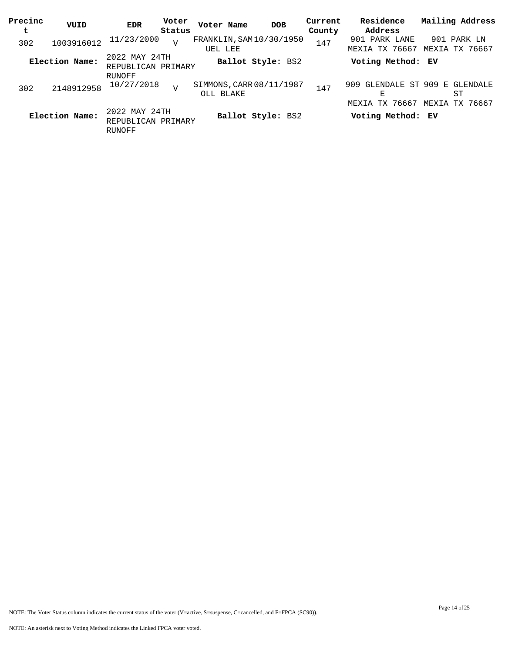| Precinc<br>t | VUID           | <b>EDR</b>                                    | Voter<br>Status | Voter Name                            | <b>DOB</b>        | Current<br>County | Residence<br>Address            | Mailing Address                                           |
|--------------|----------------|-----------------------------------------------|-----------------|---------------------------------------|-------------------|-------------------|---------------------------------|-----------------------------------------------------------|
| 302          | 1003916012     | 11/23/2000                                    | $\overline{V}$  | FRANKLIN, SAM $10/30/1950$<br>UEL LEE |                   | 147               | 901 PARK LANE<br>MEXIA TX 76667 | 901 PARK LN<br>MEXIA TX 76667                             |
|              | Election Name: | 2022 MAY 24TH<br>REPUBLICAN PRIMARY           |                 |                                       | Ballot Style: BS2 |                   | Voting Method: EV               |                                                           |
| 302          | 2148912958     | RUNOFF<br>10/27/2018                          | $\overline{V}$  | SIMMONS, CARR 08/11/1987<br>OLL BLAKE |                   | 147               | Е<br>TX 76667<br>MEXIA          | 909 GLENDALE ST 909 E GLENDALE<br>ST<br>TX 76667<br>MEXIA |
|              | Election Name: | 2022 MAY 24TH<br>REPUBLICAN PRIMARY<br>RUNOFF |                 |                                       | Ballot Style: BS2 |                   | Voting Method: EV               |                                                           |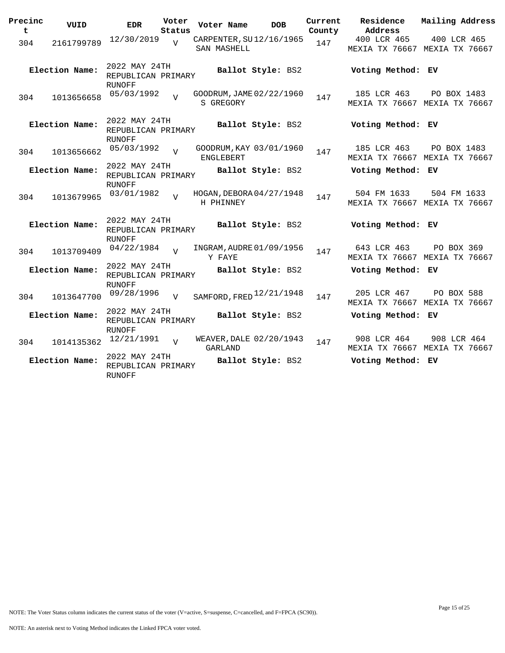| Precinc<br>t | VUID           | <b>EDR</b>                                           | Voter<br>Status | Voter Name  | <b>DOB</b>                 | Current<br>County | Residence<br>Address | Mailing Address                              |
|--------------|----------------|------------------------------------------------------|-----------------|-------------|----------------------------|-------------------|----------------------|----------------------------------------------|
| 304          | 2161799789     | 12/30/2019                                           | V               | SAN MASHELL | CARPENTER, SU12/16/1965    | 147               | 400 LCR 465          | 400 LCR 465<br>MEXIA TX 76667 MEXIA TX 76667 |
|              | Election Name: | 2022 MAY 24TH<br>REPUBLICAN PRIMARY                  |                 |             | Ballot Style: BS2          |                   | Voting Method: EV    |                                              |
| 304          | 1013656658     | RUNOFF<br>05/03/1992                                 |                 | S GREGORY   | GOODRUM, JAME 02/22/1960   | 147               | 185 LCR 463          | PO BOX 1483<br>MEXIA TX 76667 MEXIA TX 76667 |
|              | Election Name: | 2022 MAY 24TH<br>REPUBLICAN PRIMARY<br><b>RUNOFF</b> |                 |             | Ballot Style: BS2          |                   | Voting Method: EV    |                                              |
|              | 304 1013656662 | 05/03/1992                                           | $\overline{v}$  | ENGLEBERT   | GOODRUM, KAY 03/01/1960    | 147               | 185 LCR 463          | PO BOX 1483<br>MEXIA TX 76667 MEXIA TX 76667 |
|              | Election Name: | 2022 MAY 24TH<br>REPUBLICAN PRIMARY<br>RUNOFF        |                 |             | Ballot Style: BS2          |                   | Voting Method: EV    |                                              |
| 304          | 1013679965     | 03/01/1982                                           | $\overline{17}$ | H PHINNEY   | HOGAN, DEBORA 04/27/1948   | 147               | 504 FM 1633          | 504 FM 1633<br>MEXIA TX 76667 MEXIA TX 76667 |
|              | Election Name: | 2022 MAY 24TH<br>REPUBLICAN PRIMARY<br>RUNOFF        |                 |             | Ballot Style: BS2          |                   | Voting Method: EV    |                                              |
| 304          | 1013709409     | 04/22/1984                                           | $\overline{U}$  | Y FAYE      | INGRAM, AUDRE 01/09/1956   | 147               | 643 LCR 463          | PO BOX 369<br>MEXIA TX 76667 MEXIA TX 76667  |
|              | Election Name: | 2022 MAY 24TH<br>REPUBLICAN PRIMARY<br>RUNOFF        |                 |             | Ballot Style: BS2          |                   | Voting Method: EV    |                                              |
| 304          | 1013647700     | 09/28/1996                                           | V               |             | SAMFORD, FRED $12/21/1948$ | 147               | 205 LCR 467          | PO BOX 588<br>MEXIA TX 76667 MEXIA TX 76667  |
|              | Election Name: | 2022 MAY 24TH<br>REPUBLICAN PRIMARY<br><b>RUNOFF</b> |                 |             | Ballot Style: BS2          |                   | Voting Method: EV    |                                              |
| 304          | 1014135362     | $12/21/1991$ V                                       |                 | GARLAND     | WEAVER, DALE 02/20/1943    | 147               | 908 LCR 464          | 908 LCR 464<br>MEXIA TX 76667 MEXIA TX 76667 |
|              | Election Name: | 2022 MAY 24TH<br>REPUBLICAN PRIMARY<br>RUNOFF        |                 |             | Ballot Style: BS2          |                   | Voting Method: EV    |                                              |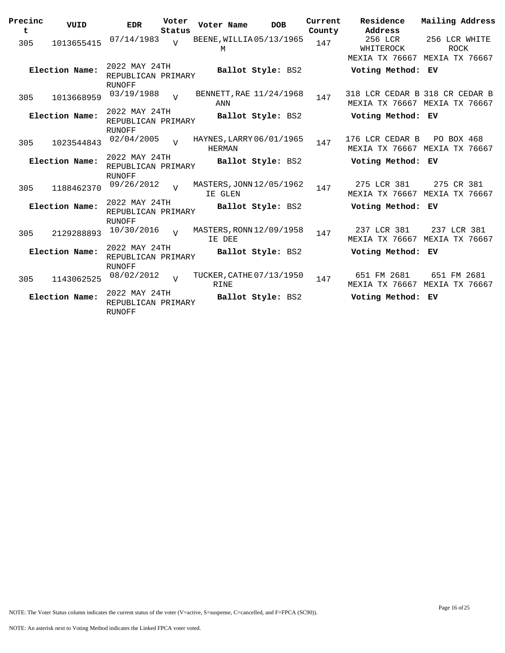| Precinc<br>t | VUID           | <b>EDR</b>                                    | Voter<br>Status | Voter Name                                | <b>DOB</b>        | Current<br>County | Residence<br>Address                                            | Mailing Address                                |  |
|--------------|----------------|-----------------------------------------------|-----------------|-------------------------------------------|-------------------|-------------------|-----------------------------------------------------------------|------------------------------------------------|--|
| 305          | 1013655415     | 07/14/1983                                    | $\overline{U}$  | BEENE, WILLIA05/13/1965<br>M              |                   | 147               | 256 LCR<br>WHITEROCK<br>MEXIA TX 76667                          | 256 LCR WHITE<br><b>ROCK</b><br>MEXIA TX 76667 |  |
|              | Election Name: | 2022 MAY 24TH<br>REPUBLICAN PRIMARY<br>RUNOFF |                 |                                           | Ballot Style: BS2 |                   | Voting Method: EV                                               |                                                |  |
| 305          | 1013668959     | 03/19/1988                                    | $\overline{U}$  | BENNETT, RAE $11/24/1968$<br>ANN          |                   | 147               | 318 LCR CEDAR B 318 CR CEDAR B<br>MEXIA TX 76667 MEXIA TX 76667 |                                                |  |
|              | Election Name: | 2022 MAY 24TH<br>REPUBLICAN PRIMARY<br>RUNOFF |                 |                                           | Ballot Style: BS2 |                   | Voting Method: EV                                               |                                                |  |
| 305          | 1023544843     | 02/04/2005                                    |                 | HAYNES, LARRY 06/01/1965<br><b>HERMAN</b> |                   | 147               | 176 LCR CEDAR B<br>MEXIA TX 76667 MEXIA TX 76667                | PO BOX 468                                     |  |
|              | Election Name: | 2022 MAY 24TH<br>REPUBLICAN PRIMARY<br>RUNOFF |                 |                                           | Ballot Style: BS2 |                   | Voting Method: EV                                               |                                                |  |
| 305          | 1188462370     | 09/26/2012                                    | $\overline{U}$  | MASTERS, JONN 12/05/1962<br>IE GLEN       |                   | 147               | 275 LCR 381<br>MEXIA TX 76667                                   | 275 CR 381<br>MEXIA TX 76667                   |  |
|              | Election Name: | 2022 MAY 24TH<br>REPUBLICAN PRIMARY<br>RUNOFF |                 |                                           | Ballot Style: BS2 |                   | Voting Method: EV                                               |                                                |  |
| 305          | 2129288893     | 10/30/2016                                    | $\overline{v}$  | MASTERS, RONN 12/09/1958<br>IE DEE        |                   | 147               | 237 LCR 381<br>MEXIA TX 76667 MEXIA TX 76667                    | 237 LCR 381                                    |  |
|              | Election Name: | 2022 MAY 24TH<br>REPUBLICAN PRIMARY<br>RUNOFF |                 |                                           | Ballot Style: BS2 |                   | Voting Method: EV                                               |                                                |  |
| 305          | 1143062525     | 08/02/2012                                    | $\overline{U}$  | TUCKER, CATHE 07/13/1950<br><b>RINE</b>   |                   | 147               | 651 FM 2681<br>MEXIA TX 76667                                   | 651 FM 2681<br>MEXIA TX 76667                  |  |
|              | Election Name: | 2022 MAY 24TH<br>REPUBLICAN PRIMARY<br>RUNOFF |                 |                                           | Ballot Style: BS2 |                   | Voting Method:                                                  | EV                                             |  |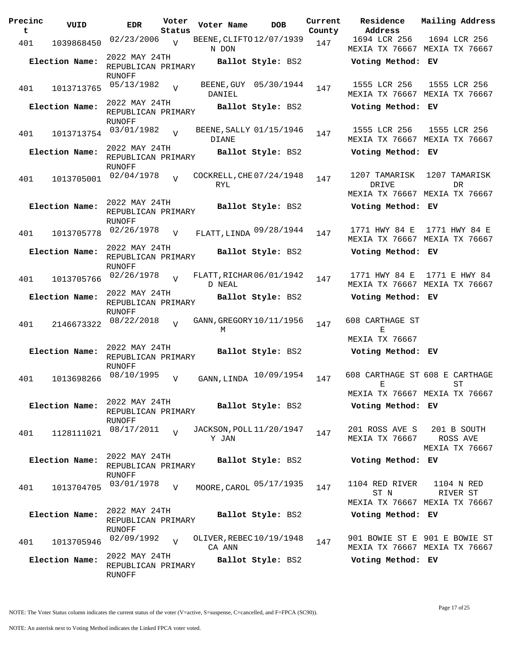| Precinc<br>t | VUID           | <b>EDR</b>                                           | Voter<br>Status | Voter Name                              | <b>DOB</b>            | Current<br>County | Residence<br>Address                   | Mailing Address                                                |
|--------------|----------------|------------------------------------------------------|-----------------|-----------------------------------------|-----------------------|-------------------|----------------------------------------|----------------------------------------------------------------|
| 401          | 1039868450     | 02/23/2006                                           | $\overline{V}$  | BEENE, CLIFTO 12/07/1939<br>N DON       |                       | 147               | 1694 LCR 256                           | 1694 LCR 256<br>MEXIA TX 76667 MEXIA TX 76667                  |
|              | Election Name: | 2022 MAY 24TH<br>REPUBLICAN PRIMARY<br>RUNOFF        |                 |                                         | Ballot Style: BS2     |                   | Voting Method: EV                      |                                                                |
| 401          | 1013713765     | 05/13/1982                                           | $\overline{V}$  | DANIEL                                  | BEENE, GUY 05/30/1944 | 147               | 1555 LCR 256                           | 1555 LCR 256<br>MEXIA TX 76667 MEXIA TX 76667                  |
|              | Election Name: | 2022 MAY 24TH<br>REPUBLICAN PRIMARY<br>RUNOFF        |                 |                                         | Ballot Style: BS2     |                   | Voting Method: EV                      |                                                                |
| 401          | 1013713754     | 03/01/1982                                           | $\overline{V}$  | BEENE, SALLY 01/15/1946<br><b>DIANE</b> |                       | 147               | 1555 LCR 256                           | 1555 LCR 256<br>MEXIA TX 76667 MEXIA TX 76667                  |
|              | Election Name: | 2022 MAY 24TH<br>REPUBLICAN PRIMARY<br><b>RUNOFF</b> |                 |                                         | Ballot Style: BS2     |                   | Voting Method: EV                      |                                                                |
| 401          | 1013705001     | 02/04/1978                                           | $\overline{U}$  | COCKRELL, CHE 07/24/1948<br>RYL         |                       | 147               | 1207 TAMARISK<br>DRIVE                 | 1207 TAMARISK<br>DR.<br>MEXIA TX 76667 MEXIA TX 76667          |
|              | Election Name: | 2022 MAY 24TH<br>REPUBLICAN PRIMARY<br><b>RUNOFF</b> |                 |                                         | Ballot Style: BS2     |                   | Voting Method: EV                      |                                                                |
| 401          | 1013705778     | 02/26/1978                                           | V               | FLATT, LINDA 09/28/1944                 |                       | 147               | 1771 HWY 84 E                          | 1771 HWY 84 E<br>MEXIA TX 76667 MEXIA TX 76667                 |
|              | Election Name: | 2022 MAY 24TH<br>REPUBLICAN PRIMARY<br><b>RUNOFF</b> |                 |                                         | Ballot Style: BS2     |                   | Voting Method: EV                      |                                                                |
| 401          | 1013705766     | 02/26/1978                                           | $\overline{V}$  | FLATT, RICHAR 06/01/1942<br>D NEAL      |                       | 147               | 1771 HWY 84 E                          | 1771 E HWY 84<br>MEXIA TX 76667 MEXIA TX 76667                 |
|              | Election Name: | 2022 MAY 24TH<br>REPUBLICAN PRIMARY<br>RUNOFF        |                 |                                         | Ballot Style: BS2     |                   | Voting Method: EV                      |                                                                |
| 401          | 2146673322     | 08/22/2018                                           | $\overline{v}$  | GANN, GREGORY 10/11/1956<br>М           |                       | 147               | 608 CARTHAGE ST<br>Е<br>MEXIA TX 76667 |                                                                |
|              | Election Name: | 2022 MAY 24TH<br>REPUBLICAN PRIMARY<br><b>RUNOFF</b> |                 |                                         | Ballot Style: BS2     |                   | Voting Method: EV                      |                                                                |
| 401          | 1013698266     | 08/10/1995                                           | $\overline{V}$  | GANN, LINDA                             | 10/09/1954            | 147               | 608 CARTHAGE ST 608 E CARTHAGE<br>E    | ST<br>MEXIA TX 76667 MEXIA TX 76667                            |
|              | Election Name: | 2022 MAY 24TH<br>REPUBLICAN PRIMARY<br>RUNOFF        |                 |                                         | Ballot Style: BS2     |                   | Voting Method: EV                      |                                                                |
| 401          | 1128111021     | 08/17/2011                                           | $\overline{U}$  | JACKSON, POLL 11/20/1947<br>Y JAN       |                       | 147               | 201 ROSS AVE S<br>MEXIA TX 76667       | 201 B SOUTH<br>ROSS AVE<br>MEXIA TX 76667                      |
|              | Election Name: | 2022 MAY 24TH<br>REPUBLICAN PRIMARY<br>RUNOFF        |                 |                                         | Ballot Style: BS2     |                   | Voting Method: EV                      |                                                                |
| 401          | 1013704705     | 03/01/1978                                           | V               | MOORE, CAROL 05/17/1935                 |                       | 147               | 1104 RED RIVER<br>ST N                 | 1104 N RED<br>RIVER ST<br>MEXIA TX 76667 MEXIA TX 76667        |
|              | Election Name: | 2022 MAY 24TH<br>REPUBLICAN PRIMARY<br>RUNOFF        |                 |                                         | Ballot Style: BS2     |                   | Voting Method: EV                      |                                                                |
| 401          | 1013705946     | 02/09/1992                                           | $\overline{v}$  | OLIVER, REBEC 10/19/1948<br>CA ANN      |                       | 147               |                                        | 901 BOWIE ST E 901 E BOWIE ST<br>MEXIA TX 76667 MEXIA TX 76667 |
|              | Election Name: | 2022 MAY 24TH<br>REPUBLICAN PRIMARY<br>RUNOFF        |                 |                                         | Ballot Style: BS2     |                   | Voting Method: EV                      |                                                                |

NOTE: An asterisk next to Voting Method indicates the Linked FPCA voter voted.

Page 17 of 25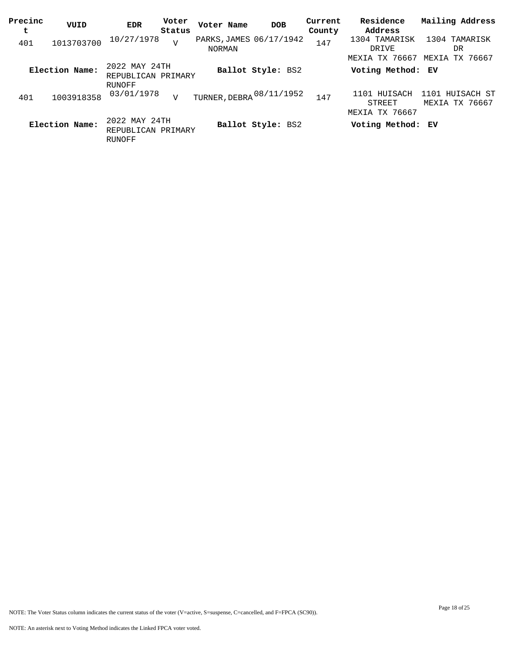| Precinc<br>t | VUID           | EDR                                                  | Voter<br>Status | Voter Name                        | <b>DOB</b>        | Current<br>County | Residence<br>Address                     | Mailing Address                      |
|--------------|----------------|------------------------------------------------------|-----------------|-----------------------------------|-------------------|-------------------|------------------------------------------|--------------------------------------|
| 401          | 1013703700     | 10/27/1978                                           | T               | PARKS, JAMES 06/17/1942<br>NORMAN |                   | 147               | 1304 TAMARISK<br>DRIVE                   | 1304 TAMARISK<br>DR                  |
|              | Election Name: | 2022 MAY 24TH<br>REPUBLICAN PRIMARY                  |                 |                                   | Ballot Style: BS2 |                   | MEXIA TX 76667<br>Voting Method: EV      | MEXIA TX 76667                       |
| 401          | 1003918358     | RUNOFF<br>03/01/1978                                 | $\mathbf{V}$    | TURNER, DEBRA 08/11/1952          |                   | 147               | 1101 HUISACH<br>STREET<br>MEXIA TX 76667 | 1101<br>HUISACH ST<br>MEXIA TX 76667 |
|              | Election Name: | 2022 MAY 24TH<br>REPUBLICAN PRIMARY<br><b>RUNOFF</b> |                 |                                   | Ballot Style: BS2 |                   | Voting Method: EV                        |                                      |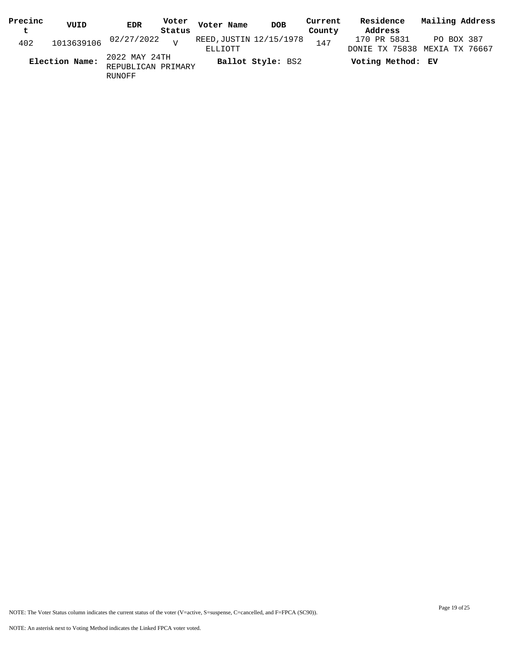| Precinc | VUID           | <b>EDR</b>                          | Voter  | Voter Name              | DOB               | Current | Residence                     | Mailing Address |
|---------|----------------|-------------------------------------|--------|-------------------------|-------------------|---------|-------------------------------|-----------------|
| t       |                |                                     | Status |                         |                   | County  | Address                       |                 |
| 402     |                | 1013639106 02/27/2022 v             |        | REED, JUSTIN 12/15/1978 |                   | 147     | 170 PR 5831                   | PO BOX 387      |
|         |                |                                     |        | ELLIOTT                 |                   |         | DONIE TX 75838 MEXIA TX 76667 |                 |
|         | Election Name: | 2022 MAY 24TH<br>REPUBLICAN PRIMARY |        |                         | Ballot Style: BS2 |         | Voting Method: EV             |                 |
|         |                | RUNOFF                              |        |                         |                   |         |                               |                 |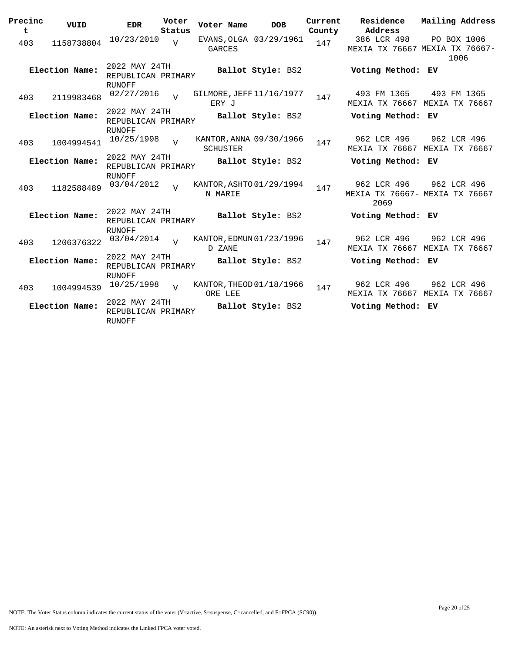| Precinc<br>t | VUID           | <b>EDR</b>                                    | Voter<br>Status | Voter Name                          | <b>DOB</b>             | Current<br>County | Residence<br>Address                                  | Mailing Address     |  |
|--------------|----------------|-----------------------------------------------|-----------------|-------------------------------------|------------------------|-------------------|-------------------------------------------------------|---------------------|--|
| 403          | 1158738804     | 10/23/2010                                    | $\overline{V}$  | <b>GARCES</b>                       | EVANS, OLGA 03/29/1961 | 147               | 386 LCR 498<br>MEXIA TX 76667 MEXIA TX 76667-         | PO BOX 1006<br>1006 |  |
|              | Election Name: | 2022 MAY 24TH<br>REPUBLICAN PRIMARY<br>RUNOFF |                 |                                     | Ballot Style: BS2      |                   | Voting Method: EV                                     |                     |  |
| 403          | 2119983468     | 02/27/2016                                    |                 | GILMORE, JEFF 11/16/1977<br>ERY J   |                        | 147               | 493 FM 1365<br>MEXIA TX 76667 MEXIA TX 76667          | 493 FM 1365         |  |
|              | Election Name: | 2022 MAY 24TH<br>REPUBLICAN PRIMARY<br>RUNOFF |                 |                                     | Ballot Style: BS2      |                   | Voting Method: EV                                     |                     |  |
| 403          | 1004994541     | 10/25/1998                                    | $\overline{U}$  | KANTOR, ANNA 09/30/1966<br>SCHUSTER |                        | 147               | 962 LCR 496<br>MEXIA TX 76667 MEXIA TX 76667          | 962 LCR 496         |  |
|              | Election Name: | 2022 MAY 24TH<br>REPUBLICAN PRIMARY<br>RUNOFF |                 |                                     | Ballot Style: BS2      |                   | Voting Method: EV                                     |                     |  |
| 403          | 1182588489     | 03/04/2012                                    | $\overline{U}$  | KANTOR, ASHTO 01/29/1994<br>N MARIE |                        | 147               | 962 LCR 496<br>MEXIA TX 76667- MEXIA TX 76667<br>2069 | 962 LCR 496         |  |
|              | Election Name: | 2022 MAY 24TH<br>REPUBLICAN PRIMARY<br>RUNOFF |                 |                                     | Ballot Style: BS2      |                   | Voting Method: EV                                     |                     |  |
| 403          | 1206376322     | 03/04/2014                                    | $\overline{U}$  | KANTOR, EDMUN 01/23/1996<br>D ZANE  |                        | 147               | 962 LCR 496<br>MEXIA TX 76667 MEXIA TX 76667          | 962 LCR 496         |  |
|              | Election Name: | 2022 MAY 24TH<br>REPUBLICAN PRIMARY<br>RUNOFF |                 |                                     | Ballot Style: BS2      |                   | Voting Method: EV                                     |                     |  |
| 403          | 1004994539     | 10/25/1998                                    | $\overline{v}$  | KANTOR, THEOD 01/18/1966<br>ORE LEE |                        | 147               | 962 LCR 496<br>MEXIA TX 76667 MEXIA TX 76667          | 962 LCR 496         |  |
|              | Election Name: | 2022 MAY 24TH<br>REPUBLICAN PRIMARY<br>RUNOFF |                 |                                     | Ballot Style: BS2      |                   | Voting Method: EV                                     |                     |  |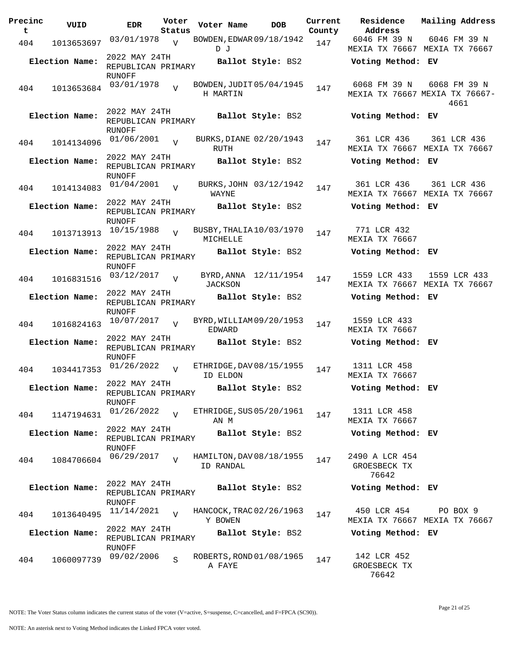| Precinc<br>t | VUID           | <b>EDR</b>                                           | Voter<br>Status | Voter Name  |      | <b>DOB</b>               | Current<br>County | Residence<br>Address                           |          | Mailing Address |
|--------------|----------------|------------------------------------------------------|-----------------|-------------|------|--------------------------|-------------------|------------------------------------------------|----------|-----------------|
| 404          | 1013653697     | 03/01/1978                                           | $\overline{v}$  | DJ          |      | BOWDEN, EDWAR 09/18/1942 | 147               | 6046 FM 39 N<br>MEXIA TX 76667 MEXIA TX 76667  |          | 6046 FM 39 N    |
|              | Election Name: | 2022 MAY 24TH<br>REPUBLICAN PRIMARY                  |                 |             |      | Ballot Style: BS2        |                   | Voting Method: EV                              |          |                 |
| 404          | 1013653684     | RUNOFF<br>03/01/1978                                 | $\overline{V}$  | H MARTIN    |      | BOWDEN, JUDIT 05/04/1945 | 147               | 6068 FM 39 N<br>MEXIA TX 76667 MEXIA TX 76667- | 4661     | 6068 FM 39 N    |
|              | Election Name: | 2022 MAY 24TH<br>REPUBLICAN PRIMARY<br>RUNOFF        |                 |             |      | Ballot Style: BS2        |                   | Voting Method: EV                              |          |                 |
| 404          | 1014134096     | 01/06/2001                                           | $\overline{17}$ | <b>RUTH</b> |      | BURKS, DIANE 02/20/1943  | 147               | 361 LCR 436<br>MEXIA TX 76667 MEXIA TX 76667   |          | 361 LCR 436     |
|              | Election Name: | 2022 MAY 24TH<br>REPUBLICAN PRIMARY<br>RUNOFF        |                 |             |      | Ballot Style: BS2        |                   | Voting Method: EV                              |          |                 |
| 404          | 1014134083     | 01/04/2001                                           | $\overline{V}$  | WAYNE       |      | BURKS, JOHN 03/12/1942   | 147               | 361 LCR 436<br>MEXIA TX 76667 MEXIA TX 76667   |          | 361 LCR 436     |
|              | Election Name: | 2022 MAY 24TH<br>REPUBLICAN PRIMARY<br><b>RUNOFF</b> |                 |             |      | Ballot Style: BS2        |                   | Voting Method: EV                              |          |                 |
| 404          | 1013713913     | 10/15/1988                                           | $\overline{V}$  | MICHELLE    |      | BUSBY, THALIA 10/03/1970 | 147               | 771 LCR 432<br>MEXIA TX 76667                  |          |                 |
|              | Election Name: | 2022 MAY 24TH<br>REPUBLICAN PRIMARY<br><b>RUNOFF</b> |                 |             |      | Ballot Style: BS2        |                   | Voting Method: EV                              |          |                 |
| 404          | 1016831516     | 03/12/2017                                           | $\overline{V}$  | JACKSON     |      | BYRD, ANNA 12/11/1954    | 147               | 1559 LCR 433<br>MEXIA TX 76667 MEXIA TX 76667  |          | 1559 LCR 433    |
|              | Election Name: | 2022 MAY 24TH<br>REPUBLICAN PRIMARY<br>RUNOFF        |                 |             |      | Ballot Style: BS2        |                   | Voting Method: EV                              |          |                 |
| 404          | 1016824163     | 10/07/2017                                           | $\overline{V}$  | EDWARD      |      | BYRD, WILLIAM 09/20/1953 | 147               | 1559 LCR 433<br>MEXIA TX 76667                 |          |                 |
|              | Election Name: | 2022 MAY 24TH<br>REPUBLICAN PRIMARY<br>RUNOFF        |                 |             |      | Ballot Style: BS2        |                   | Voting Method: EV                              |          |                 |
| 404          | 1034417353     | 01/26/2022                                           | $\overline{U}$  | ID ELDON    |      | ETHRIDGE, DAV 08/15/1955 | 147               | 1311 LCR 458<br>MEXIA TX 76667                 |          |                 |
|              | Election Name: | 2022 MAY 24TH<br>REPUBLICAN PRIMARY<br>RUNOFF        |                 |             |      | Ballot Style: BS2        |                   | Voting Method: EV                              |          |                 |
| 404          | 1147194631     | 01/26/2022                                           | $\overline{U}$  |             | AN M | ETHRIDGE, SUS 05/20/1961 | 147               | 1311 LCR 458<br>MEXIA TX 76667                 |          |                 |
|              | Election Name: | 2022 MAY 24TH<br>REPUBLICAN PRIMARY<br>RUNOFF        |                 |             |      | Ballot Style: BS2        |                   | Voting Method: EV                              |          |                 |
| 404          | 1084706604     | 06/29/2017                                           |                 | ID RANDAL   |      | HAMILTON, DAV 08/18/1955 | 147               | 2490 A LCR 454<br>GROESBECK TX<br>76642        |          |                 |
|              | Election Name: | 2022 MAY 24TH<br>REPUBLICAN PRIMARY<br>RUNOFF        |                 |             |      | Ballot Style: BS2        |                   | Voting Method: EV                              |          |                 |
| 404          | 1013640495     | 11/14/2021                                           |                 | Y BOWEN     |      | HANCOCK, TRAC 02/26/1963 | 147               | 450 LCR 454<br>MEXIA TX 76667 MEXIA TX 76667   | PO BOX 9 |                 |
|              | Election Name: | 2022 MAY 24TH<br>REPUBLICAN PRIMARY<br>RUNOFF        |                 |             |      | Ballot Style: BS2        |                   | Voting Method: EV                              |          |                 |
| 404          | 1060097739     | 09/02/2006                                           | S               | A FAYE      |      | ROBERTS, ROND 01/08/1965 | 147               | 142 LCR 452<br>GROESBECK TX<br>76642           |          |                 |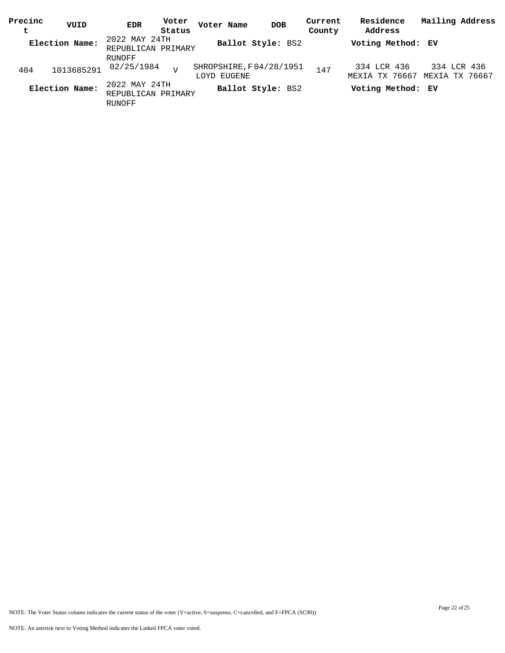| Precinc | VUID           | <b>EDR</b>         | Voter  | Voter Name              | <b>DOB</b>        | Current | Residence         | Mailing Address               |
|---------|----------------|--------------------|--------|-------------------------|-------------------|---------|-------------------|-------------------------------|
| t       |                |                    | Status |                         |                   | County  | Address           |                               |
|         | Election Name: | 2022 MAY 24TH      |        |                         | Ballot Style: BS2 |         | Voting Method: EV |                               |
|         |                | REPUBLICAN PRIMARY |        |                         |                   |         |                   |                               |
|         |                | RUNOFF             |        |                         |                   |         |                   |                               |
| 404     | 1013685291     | 02/25/1984         | T      | SHROPSHIRE, F04/28/1951 |                   | 147     | 334 LCR 436       | 334 LCR 436                   |
|         |                |                    |        | LOYD EUGENE             |                   |         |                   | MEXIA TX 76667 MEXIA TX 76667 |
|         | Election Name: | 2022 MAY 24TH      |        |                         | Ballot Style: BS2 |         | Voting Method: EV |                               |
|         |                | REPUBLICAN PRIMARY |        |                         |                   |         |                   |                               |
|         |                | RUNOFF             |        |                         |                   |         |                   |                               |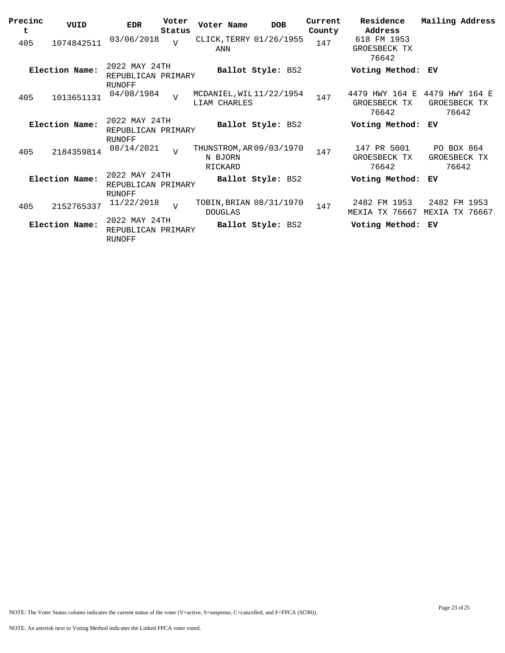| Precinc<br>t | VUID           | <b>EDR</b>                                           | Voter<br>Status | Voter Name                                     | <b>DOB</b>        | Current<br>County | Residence<br>Address                    | Mailing Address                         |
|--------------|----------------|------------------------------------------------------|-----------------|------------------------------------------------|-------------------|-------------------|-----------------------------------------|-----------------------------------------|
| 405          | 1074842511     | 03/06/2018                                           | $\overline{V}$  | CLICK, TERRY 01/26/1955<br>ANN                 |                   | 147               | 618 FM 1953<br>GROESBECK TX<br>76642    |                                         |
|              | Election Name: | 2022 MAY 24TH<br>REPUBLICAN PRIMARY<br>RUNOFF        |                 |                                                | Ballot Style: BS2 |                   | Voting Method: EV                       |                                         |
| 405          | 1013651131     | 04/08/1984                                           | $\overline{v}$  | MCDANIEL, WIL 11/22/1954<br>LIAM CHARLES       |                   | 147               | 4479 HWY 164 E<br>GROESBECK TX<br>76642 | 4479 HWY 164 E<br>GROESBECK TX<br>76642 |
|              | Election Name: | 2022 MAY 24TH<br>REPUBLICAN PRIMARY<br><b>RUNOFF</b> |                 |                                                | Ballot Style: BS2 |                   | Voting Method:                          | ЕV                                      |
| 405          | 2184359814     | 08/14/2021                                           | $\overline{V}$  | THUNSTROM, AR 09/03/1970<br>N BJORN<br>RICKARD |                   | 147               | 147 PR 5001<br>GROESBECK TX<br>76642    | PO BOX 864<br>GROESBECK TX<br>76642     |
|              | Election Name: | 2022 MAY 24TH<br>REPUBLICAN PRIMARY<br><b>RUNOFF</b> |                 |                                                | Ballot Style: BS2 |                   | Voting Method:                          | ЕV                                      |
| 405          | 2152765337     | 11/22/2018                                           | $\overline{U}$  | TOBIN, BRIAN 08/31/1970<br><b>DOUGLAS</b>      |                   | 147               | 2482 FM 1953<br>MEXIA TX 76667          | 2482 FM 1953<br>MEXIA TX 76667          |
|              | Election Name: | 2022 MAY 24TH<br>REPUBLICAN PRIMARY<br><b>RUNOFF</b> |                 |                                                | Ballot Style: BS2 |                   | Voting Method:                          | ЕV                                      |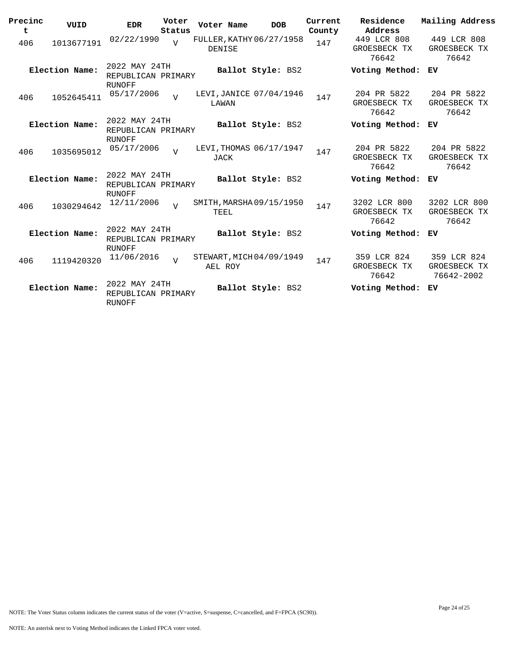| Precinc<br>t | VUID           | <b>EDR</b>                                    | Voter<br>Status | Voter Name                          | <b>DOB</b>        | Current<br>County | Residence<br>Address                  | Mailing Address                           |
|--------------|----------------|-----------------------------------------------|-----------------|-------------------------------------|-------------------|-------------------|---------------------------------------|-------------------------------------------|
| 406          | 1013677191     | 02/22/1990                                    | $\overline{U}$  | FULLER, KATHY 06/27/1958<br>DENISE  |                   | 147               | 449 LCR 808<br>GROESBECK TX<br>76642  | 449 LCR 808<br>GROESBECK TX<br>76642      |
|              | Election Name: | 2022 MAY 24TH<br>REPUBLICAN PRIMARY<br>RUNOFF |                 |                                     | Ballot Style: BS2 |                   | Voting Method:                        | ЕV                                        |
| 406          | 1052645411     | 05/17/2006                                    | $\overline{U}$  | LEVI, JANICE 07/04/1946<br>LAWAN    |                   | 147               | 204 PR 5822<br>GROESBECK TX<br>76642  | 204 PR 5822<br>GROESBECK TX<br>76642      |
|              | Election Name: | 2022 MAY 24TH<br>REPUBLICAN PRIMARY<br>RUNOFF |                 |                                     | Ballot Style: BS2 |                   | Voting Method:                        | ЕV                                        |
| 406          | 1035695012     | 05/17/2006                                    | $\overline{v}$  | LEVI, THOMAS 06/17/1947<br>JACK     |                   | 147               | 204 PR 5822<br>GROESBECK TX<br>76642  | 204 PR 5822<br>GROESBECK TX<br>76642      |
|              | Election Name: | 2022 MAY 24TH<br>REPUBLICAN PRIMARY<br>RUNOFF |                 |                                     | Ballot Style: BS2 |                   | Voting Method:                        | ЕV                                        |
| 406          | 1030294642     | 12/11/2006                                    | $\overline{v}$  | SMITH, MARSHA09/15/1950<br>TEEL     |                   | 147               | 3202 LCR 800<br>GROESBECK TX<br>76642 | 3202 LCR 800<br>GROESBECK TX<br>76642     |
|              | Election Name: | 2022 MAY 24TH<br>REPUBLICAN PRIMARY<br>RUNOFF |                 |                                     | Ballot Style: BS2 |                   | Voting Method:                        | ЕV                                        |
| 406          | 1119420320     | 11/06/2016                                    | $\overline{17}$ | STEWART, MICH 04/09/1949<br>AEL ROY |                   | 147               | 359 LCR 824<br>GROESBECK TX<br>76642  | 359 LCR 824<br>GROESBECK TX<br>76642-2002 |
|              | Election Name: | 2022 MAY 24TH<br>REPUBLICAN PRIMARY<br>RUNOFF |                 |                                     | Ballot Style: BS2 |                   | Voting Method:                        | ЕV                                        |